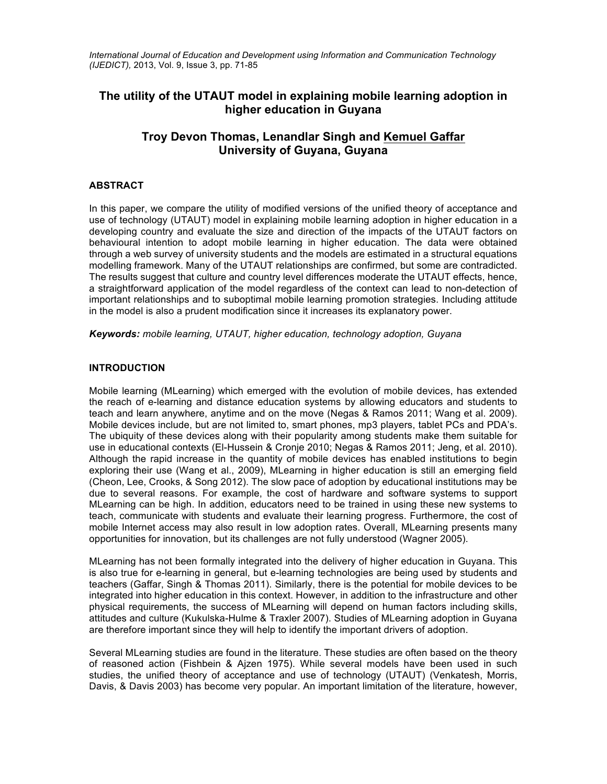*International Journal of Education and Development using Information and Communication Technology (IJEDICT),* 2013, Vol. 9, Issue 3, pp. 71-85

# **The utility of the UTAUT model in explaining mobile learning adoption in higher education in Guyana**

# **Troy Devon Thomas, Lenandlar Singh and Kemuel Gaffar University of Guyana, Guyana**

## **ABSTRACT**

In this paper, we compare the utility of modified versions of the unified theory of acceptance and use of technology (UTAUT) model in explaining mobile learning adoption in higher education in a developing country and evaluate the size and direction of the impacts of the UTAUT factors on behavioural intention to adopt mobile learning in higher education. The data were obtained through a web survey of university students and the models are estimated in a structural equations modelling framework. Many of the UTAUT relationships are confirmed, but some are contradicted. The results suggest that culture and country level differences moderate the UTAUT effects, hence, a straightforward application of the model regardless of the context can lead to non-detection of important relationships and to suboptimal mobile learning promotion strategies. Including attitude in the model is also a prudent modification since it increases its explanatory power.

*Keywords: mobile learning, UTAUT, higher education, technology adoption, Guyana*

#### **INTRODUCTION**

Mobile learning (MLearning) which emerged with the evolution of mobile devices, has extended the reach of e-learning and distance education systems by allowing educators and students to teach and learn anywhere, anytime and on the move (Negas & Ramos 2011; Wang et al. 2009). Mobile devices include, but are not limited to, smart phones, mp3 players, tablet PCs and PDA's. The ubiquity of these devices along with their popularity among students make them suitable for use in educational contexts (El-Hussein & Cronje 2010; Negas & Ramos 2011; Jeng, et al. 2010). Although the rapid increase in the quantity of mobile devices has enabled institutions to begin exploring their use (Wang et al., 2009), MLearning in higher education is still an emerging field (Cheon, Lee, Crooks, & Song 2012). The slow pace of adoption by educational institutions may be due to several reasons. For example, the cost of hardware and software systems to support MLearning can be high. In addition, educators need to be trained in using these new systems to teach, communicate with students and evaluate their learning progress. Furthermore, the cost of mobile Internet access may also result in low adoption rates. Overall, MLearning presents many opportunities for innovation, but its challenges are not fully understood (Wagner 2005).

MLearning has not been formally integrated into the delivery of higher education in Guyana. This is also true for e-learning in general, but e-learning technologies are being used by students and teachers (Gaffar, Singh & Thomas 2011). Similarly, there is the potential for mobile devices to be integrated into higher education in this context. However, in addition to the infrastructure and other physical requirements, the success of MLearning will depend on human factors including skills, attitudes and culture (Kukulska-Hulme & Traxler 2007). Studies of MLearning adoption in Guyana are therefore important since they will help to identify the important drivers of adoption.

Several MLearning studies are found in the literature. These studies are often based on the theory of reasoned action (Fishbein & Ajzen 1975). While several models have been used in such studies, the unified theory of acceptance and use of technology (UTAUT) (Venkatesh, Morris, Davis, & Davis 2003) has become very popular. An important limitation of the literature, however,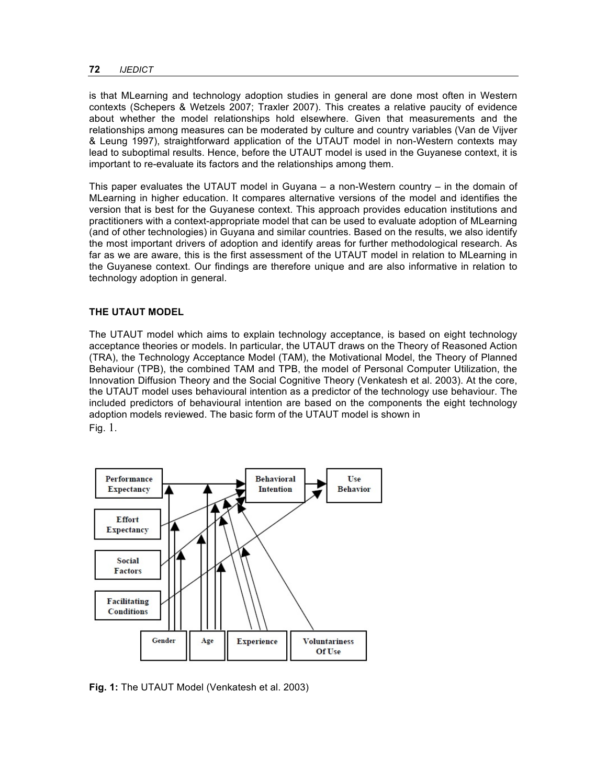is that MLearning and technology adoption studies in general are done most often in Western contexts (Schepers & Wetzels 2007; Traxler 2007). This creates a relative paucity of evidence about whether the model relationships hold elsewhere. Given that measurements and the relationships among measures can be moderated by culture and country variables (Van de Vijver & Leung 1997), straightforward application of the UTAUT model in non-Western contexts may lead to suboptimal results. Hence, before the UTAUT model is used in the Guyanese context, it is important to re-evaluate its factors and the relationships among them.

This paper evaluates the UTAUT model in Guyana  $-$  a non-Western country  $-$  in the domain of MLearning in higher education. It compares alternative versions of the model and identifies the version that is best for the Guyanese context. This approach provides education institutions and practitioners with a context-appropriate model that can be used to evaluate adoption of MLearning (and of other technologies) in Guyana and similar countries. Based on the results, we also identify the most important drivers of adoption and identify areas for further methodological research. As far as we are aware, this is the first assessment of the UTAUT model in relation to MLearning in the Guyanese context. Our findings are therefore unique and are also informative in relation to technology adoption in general.

## **THE UTAUT MODEL**

The UTAUT model which aims to explain technology acceptance, is based on eight technology acceptance theories or models. In particular, the UTAUT draws on the Theory of Reasoned Action (TRA), the Technology Acceptance Model (TAM), the Motivational Model, the Theory of Planned Behaviour (TPB), the combined TAM and TPB, the model of Personal Computer Utilization, the Innovation Diffusion Theory and the Social Cognitive Theory (Venkatesh et al. 2003). At the core, the UTAUT model uses behavioural intention as a predictor of the technology use behaviour. The included predictors of behavioural intention are based on the components the eight technology adoption models reviewed. The basic form of the UTAUT model is shown in Fig. 1.



**Fig. 1:** The UTAUT Model (Venkatesh et al. 2003)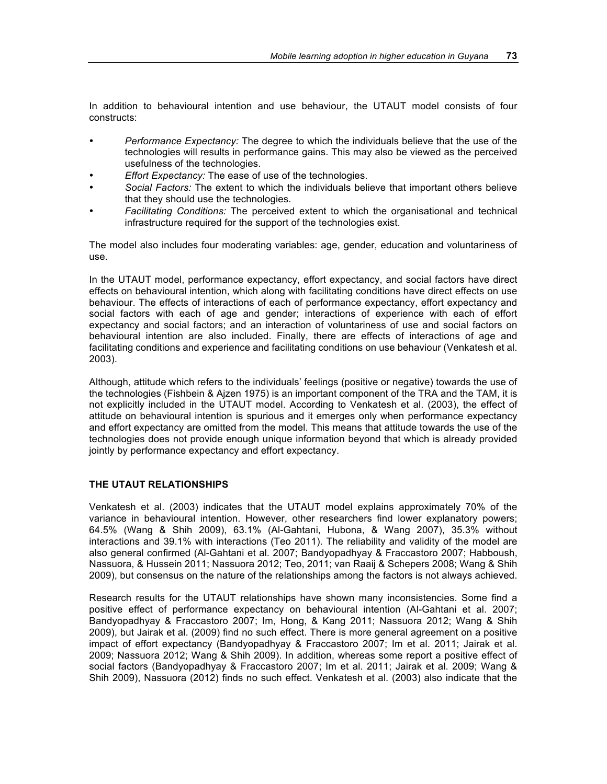In addition to behavioural intention and use behaviour, the UTAUT model consists of four constructs:

- *Performance Expectancy:* The degree to which the individuals believe that the use of the technologies will results in performance gains. This may also be viewed as the perceived usefulness of the technologies.
- *Effort Expectancy:* The ease of use of the technologies.
- *Social Factors:* The extent to which the individuals believe that important others believe that they should use the technologies.
- *Facilitating Conditions:* The perceived extent to which the organisational and technical infrastructure required for the support of the technologies exist.

The model also includes four moderating variables: age, gender, education and voluntariness of use.

In the UTAUT model, performance expectancy, effort expectancy, and social factors have direct effects on behavioural intention, which along with facilitating conditions have direct effects on use behaviour. The effects of interactions of each of performance expectancy, effort expectancy and social factors with each of age and gender; interactions of experience with each of effort expectancy and social factors; and an interaction of voluntariness of use and social factors on behavioural intention are also included. Finally, there are effects of interactions of age and facilitating conditions and experience and facilitating conditions on use behaviour (Venkatesh et al. 2003).

Although, attitude which refers to the individuals' feelings (positive or negative) towards the use of the technologies (Fishbein & Ajzen 1975) is an important component of the TRA and the TAM, it is not explicitly included in the UTAUT model. According to Venkatesh et al. (2003), the effect of attitude on behavioural intention is spurious and it emerges only when performance expectancy and effort expectancy are omitted from the model. This means that attitude towards the use of the technologies does not provide enough unique information beyond that which is already provided jointly by performance expectancy and effort expectancy.

## **THE UTAUT RELATIONSHIPS**

Venkatesh et al. (2003) indicates that the UTAUT model explains approximately 70% of the variance in behavioural intention. However, other researchers find lower explanatory powers; 64.5% (Wang & Shih 2009), 63.1% (Al-Gahtani, Hubona, & Wang 2007), 35.3% without interactions and 39.1% with interactions (Teo 2011). The reliability and validity of the model are also general confirmed (Al-Gahtani et al. 2007; Bandyopadhyay & Fraccastoro 2007; Habboush, Nassuora, & Hussein 2011; Nassuora 2012; Teo, 2011; van Raaij & Schepers 2008; Wang & Shih 2009), but consensus on the nature of the relationships among the factors is not always achieved.

Research results for the UTAUT relationships have shown many inconsistencies. Some find a positive effect of performance expectancy on behavioural intention (Al-Gahtani et al. 2007; Bandyopadhyay & Fraccastoro 2007; Im, Hong, & Kang 2011; Nassuora 2012; Wang & Shih 2009), but Jairak et al. (2009) find no such effect. There is more general agreement on a positive impact of effort expectancy (Bandyopadhyay & Fraccastoro 2007; Im et al. 2011; Jairak et al. 2009; Nassuora 2012; Wang & Shih 2009). In addition, whereas some report a positive effect of social factors (Bandyopadhyay & Fraccastoro 2007; Im et al. 2011; Jairak et al. 2009; Wang & Shih 2009), Nassuora (2012) finds no such effect. Venkatesh et al. (2003) also indicate that the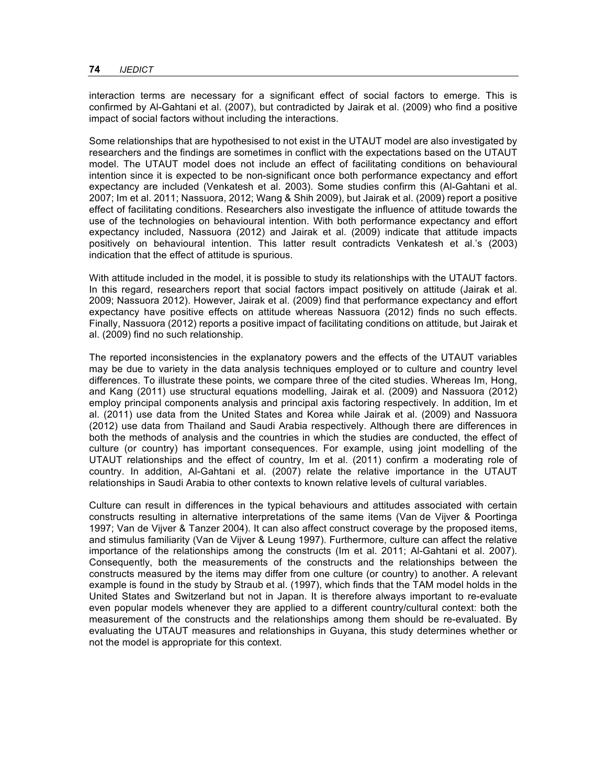interaction terms are necessary for a significant effect of social factors to emerge. This is confirmed by Al-Gahtani et al. (2007), but contradicted by Jairak et al. (2009) who find a positive impact of social factors without including the interactions.

Some relationships that are hypothesised to not exist in the UTAUT model are also investigated by researchers and the findings are sometimes in conflict with the expectations based on the UTAUT model. The UTAUT model does not include an effect of facilitating conditions on behavioural intention since it is expected to be non-significant once both performance expectancy and effort expectancy are included (Venkatesh et al. 2003). Some studies confirm this (Al-Gahtani et al. 2007; Im et al. 2011; Nassuora, 2012; Wang & Shih 2009), but Jairak et al. (2009) report a positive effect of facilitating conditions. Researchers also investigate the influence of attitude towards the use of the technologies on behavioural intention. With both performance expectancy and effort expectancy included, Nassuora (2012) and Jairak et al. (2009) indicate that attitude impacts positively on behavioural intention. This latter result contradicts Venkatesh et al.'s (2003) indication that the effect of attitude is spurious.

With attitude included in the model, it is possible to study its relationships with the UTAUT factors. In this regard, researchers report that social factors impact positively on attitude (Jairak et al. 2009; Nassuora 2012). However, Jairak et al. (2009) find that performance expectancy and effort expectancy have positive effects on attitude whereas Nassuora (2012) finds no such effects. Finally, Nassuora (2012) reports a positive impact of facilitating conditions on attitude, but Jairak et al. (2009) find no such relationship.

The reported inconsistencies in the explanatory powers and the effects of the UTAUT variables may be due to variety in the data analysis techniques employed or to culture and country level differences. To illustrate these points, we compare three of the cited studies. Whereas Im, Hong, and Kang (2011) use structural equations modelling, Jairak et al. (2009) and Nassuora (2012) employ principal components analysis and principal axis factoring respectively. In addition, Im et al. (2011) use data from the United States and Korea while Jairak et al. (2009) and Nassuora (2012) use data from Thailand and Saudi Arabia respectively. Although there are differences in both the methods of analysis and the countries in which the studies are conducted, the effect of culture (or country) has important consequences. For example, using joint modelling of the UTAUT relationships and the effect of country, Im et al. (2011) confirm a moderating role of country. In addition, Al-Gahtani et al. (2007) relate the relative importance in the UTAUT relationships in Saudi Arabia to other contexts to known relative levels of cultural variables.

Culture can result in differences in the typical behaviours and attitudes associated with certain constructs resulting in alternative interpretations of the same items (Van de Vijver & Poortinga 1997; Van de Vijver & Tanzer 2004). It can also affect construct coverage by the proposed items, and stimulus familiarity (Van de Vijver & Leung 1997). Furthermore, culture can affect the relative importance of the relationships among the constructs (Im et al. 2011; Al-Gahtani et al. 2007). Consequently, both the measurements of the constructs and the relationships between the constructs measured by the items may differ from one culture (or country) to another. A relevant example is found in the study by Straub et al. (1997), which finds that the TAM model holds in the United States and Switzerland but not in Japan. It is therefore always important to re-evaluate even popular models whenever they are applied to a different country/cultural context: both the measurement of the constructs and the relationships among them should be re-evaluated. By evaluating the UTAUT measures and relationships in Guyana, this study determines whether or not the model is appropriate for this context.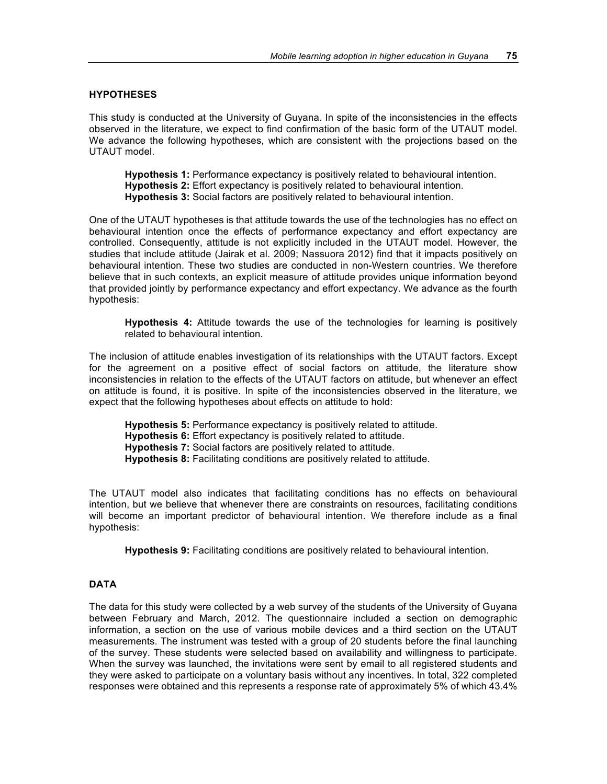#### **HYPOTHESES**

This study is conducted at the University of Guyana. In spite of the inconsistencies in the effects observed in the literature, we expect to find confirmation of the basic form of the UTAUT model. We advance the following hypotheses, which are consistent with the projections based on the UTAUT model.

**Hypothesis 1:** Performance expectancy is positively related to behavioural intention. **Hypothesis 2:** Effort expectancy is positively related to behavioural intention. **Hypothesis 3:** Social factors are positively related to behavioural intention.

One of the UTAUT hypotheses is that attitude towards the use of the technologies has no effect on behavioural intention once the effects of performance expectancy and effort expectancy are controlled. Consequently, attitude is not explicitly included in the UTAUT model. However, the studies that include attitude (Jairak et al. 2009; Nassuora 2012) find that it impacts positively on behavioural intention. These two studies are conducted in non-Western countries. We therefore believe that in such contexts, an explicit measure of attitude provides unique information beyond that provided jointly by performance expectancy and effort expectancy. We advance as the fourth hypothesis:

**Hypothesis 4:** Attitude towards the use of the technologies for learning is positively related to behavioural intention.

The inclusion of attitude enables investigation of its relationships with the UTAUT factors. Except for the agreement on a positive effect of social factors on attitude, the literature show inconsistencies in relation to the effects of the UTAUT factors on attitude, but whenever an effect on attitude is found, it is positive. In spite of the inconsistencies observed in the literature, we expect that the following hypotheses about effects on attitude to hold:

**Hypothesis 5:** Performance expectancy is positively related to attitude.

**Hypothesis 6:** Effort expectancy is positively related to attitude.

**Hypothesis 7:** Social factors are positively related to attitude.

**Hypothesis 8:** Facilitating conditions are positively related to attitude.

The UTAUT model also indicates that facilitating conditions has no effects on behavioural intention, but we believe that whenever there are constraints on resources, facilitating conditions will become an important predictor of behavioural intention. We therefore include as a final hypothesis:

**Hypothesis 9:** Facilitating conditions are positively related to behavioural intention.

## **DATA**

The data for this study were collected by a web survey of the students of the University of Guyana between February and March, 2012. The questionnaire included a section on demographic information, a section on the use of various mobile devices and a third section on the UTAUT measurements. The instrument was tested with a group of 20 students before the final launching of the survey. These students were selected based on availability and willingness to participate. When the survey was launched, the invitations were sent by email to all registered students and they were asked to participate on a voluntary basis without any incentives. In total, 322 completed responses were obtained and this represents a response rate of approximately 5% of which 43.4%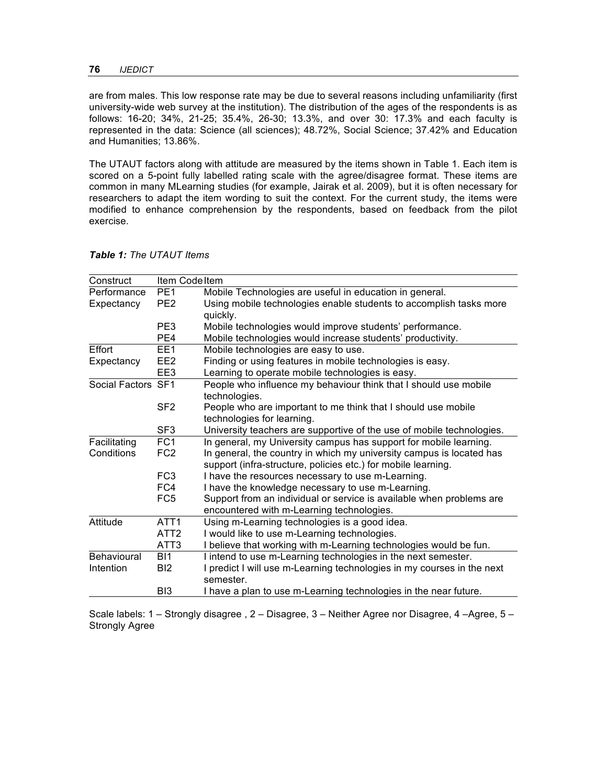are from males. This low response rate may be due to several reasons including unfamiliarity (first university-wide web survey at the institution). The distribution of the ages of the respondents is as follows: 16-20; 34%, 21-25; 35.4%, 26-30; 13.3%, and over 30: 17.3% and each faculty is represented in the data: Science (all sciences); 48.72%, Social Science; 37.42% and Education and Humanities; 13.86%.

The UTAUT factors along with attitude are measured by the items shown in Table 1. Each item is scored on a 5-point fully labelled rating scale with the agree/disagree format. These items are common in many MLearning studies (for example, Jairak et al. 2009), but it is often necessary for researchers to adapt the item wording to suit the context. For the current study, the items were modified to enhance comprehension by the respondents, based on feedback from the pilot exercise.

| Construct          | Item Code Item   |                                                                        |
|--------------------|------------------|------------------------------------------------------------------------|
| Performance        | PE <sub>1</sub>  | Mobile Technologies are useful in education in general.                |
| Expectancy         | PE <sub>2</sub>  | Using mobile technologies enable students to accomplish tasks more     |
|                    |                  | quickly.                                                               |
|                    | PE3              | Mobile technologies would improve students' performance.               |
|                    | PE4              | Mobile technologies would increase students' productivity.             |
| Effort             | EE1              | Mobile technologies are easy to use.                                   |
| Expectancy         | EE2              | Finding or using features in mobile technologies is easy.              |
|                    | EE3              | Learning to operate mobile technologies is easy.                       |
| Social Factors SF1 |                  | People who influence my behaviour think that I should use mobile       |
|                    |                  | technologies.                                                          |
|                    | SF <sub>2</sub>  | People who are important to me think that I should use mobile          |
|                    |                  | technologies for learning.                                             |
|                    | SF <sub>3</sub>  | University teachers are supportive of the use of mobile technologies.  |
| Facilitating       | FC <sub>1</sub>  | In general, my University campus has support for mobile learning.      |
| Conditions         | FC <sub>2</sub>  | In general, the country in which my university campus is located has   |
|                    |                  | support (infra-structure, policies etc.) for mobile learning.          |
|                    | FC <sub>3</sub>  | I have the resources necessary to use m-Learning.                      |
|                    | FC4              | I have the knowledge necessary to use m-Learning.                      |
|                    | FC <sub>5</sub>  | Support from an individual or service is available when problems are   |
|                    |                  | encountered with m-Learning technologies.                              |
| Attitude           | ATT <sub>1</sub> | Using m-Learning technologies is a good idea.                          |
|                    | ATT <sub>2</sub> | I would like to use m-Learning technologies.                           |
|                    | ATT <sub>3</sub> | I believe that working with m-Learning technologies would be fun.      |
| Behavioural        | BI1              | I intend to use m-Learning technologies in the next semester.          |
| Intention          | B <sub>12</sub>  | I predict I will use m-Learning technologies in my courses in the next |
|                    |                  | semester.                                                              |
|                    | B <sub>13</sub>  | I have a plan to use m-Learning technologies in the near future.       |

*Table 1: The UTAUT Items*

Scale labels: 1 – Strongly disagree , 2 – Disagree, 3 – Neither Agree nor Disagree, 4 –Agree, 5 – Strongly Agree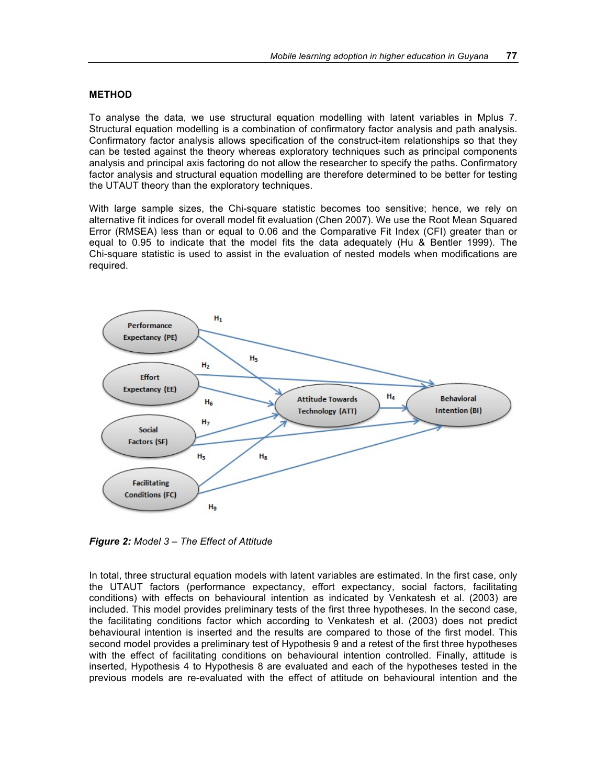#### **METHOD**

To analyse the data, we use structural equation modelling with latent variables in Mplus 7. Structural equation modelling is a combination of confirmatory factor analysis and path analysis. Confirmatory factor analysis allows specification of the construct-item relationships so that they can be tested against the theory whereas exploratory techniques such as principal components analysis and principal axis factoring do not allow the researcher to specify the paths. Confirmatory factor analysis and structural equation modelling are therefore determined to be better for testing the UTAUT theory than the exploratory techniques.

With large sample sizes, the Chi-square statistic becomes too sensitive; hence, we rely on alternative fit indices for overall model fit evaluation (Chen 2007). We use the Root Mean Squared Error (RMSEA) less than or equal to 0.06 and the Comparative Fit Index (CFI) greater than or equal to 0.95 to indicate that the model fits the data adequately (Hu & Bentler 1999). The Chi-square statistic is used to assist in the evaluation of nested models when modifications are required.



*Figure 2: Model 3 – The Effect of Attitude*

In total, three structural equation models with latent variables are estimated. In the first case, only the UTAUT factors (performance expectancy, effort expectancy, social factors, facilitating conditions) with effects on behavioural intention as indicated by Venkatesh et al. (2003) are included. This model provides preliminary tests of the first three hypotheses. In the second case, the facilitating conditions factor which according to Venkatesh et al. (2003) does not predict behavioural intention is inserted and the results are compared to those of the first model. This second model provides a preliminary test of Hypothesis 9 and a retest of the first three hypotheses with the effect of facilitating conditions on behavioural intention controlled. Finally, attitude is inserted, Hypothesis 4 to Hypothesis 8 are evaluated and each of the hypotheses tested in the previous models are re-evaluated with the effect of attitude on behavioural intention and the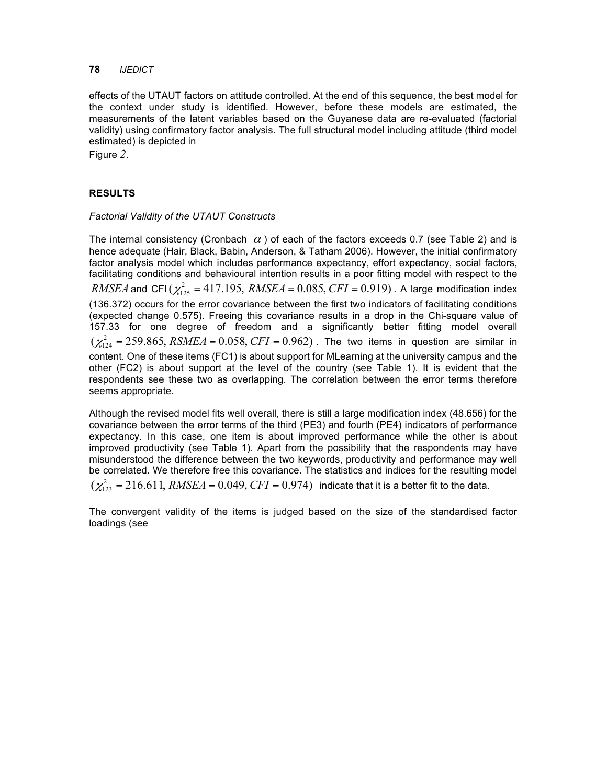effects of the UTAUT factors on attitude controlled. At the end of this sequence, the best model for the context under study is identified. However, before these models are estimated, the measurements of the latent variables based on the Guyanese data are re-evaluated (factorial validity) using confirmatory factor analysis. The full structural model including attitude (third model estimated) is depicted in

Figure *2*.

## **RESULTS**

#### *Factorial Validity of the UTAUT Constructs*

The internal consistency (Cronbach  $\alpha$ ) of each of the factors exceeds 0.7 (see Table 2) and is hence adequate (Hair, Black, Babin, Anderson, & Tatham 2006). However, the initial confirmatory factor analysis model which includes performance expectancy, effort expectancy, social factors, facilitating conditions and behavioural intention results in a poor fitting model with respect to the *RMSEA* and CFI( $\chi^2_{125}$  = 417.195, *RMSEA* = 0.085, *CFI* = 0.919). A large modification index (136.372) occurs for the error covariance between the first two indicators of facilitating conditions (expected change 0.575). Freeing this covariance results in a drop in the Chi-square value of 157.33 for one degree of freedom and a significantly better fitting model overall  $(\chi^2_{124} = 259.865, RSMEA = 0.058, CFI = 0.962)$ . The two items in question are similar in content. One of these items (FC1) is about support for MLearning at the university campus and the other (FC2) is about support at the level of the country (see Table 1). It is evident that the respondents see these two as overlapping. The correlation between the error terms therefore seems appropriate.

Although the revised model fits well overall, there is still a large modification index (48.656) for the covariance between the error terms of the third (PE3) and fourth (PE4) indicators of performance expectancy. In this case, one item is about improved performance while the other is about improved productivity (see Table 1). Apart from the possibility that the respondents may have misunderstood the difference between the two keywords, productivity and performance may well be correlated. We therefore free this covariance. The statistics and indices for the resulting model  $(\chi^2_{123} = 216.611, RMSEA = 0.049, CFI = 0.974)$  indicate that it is a better fit to the data.

The convergent validity of the items is judged based on the size of the standardised factor loadings (see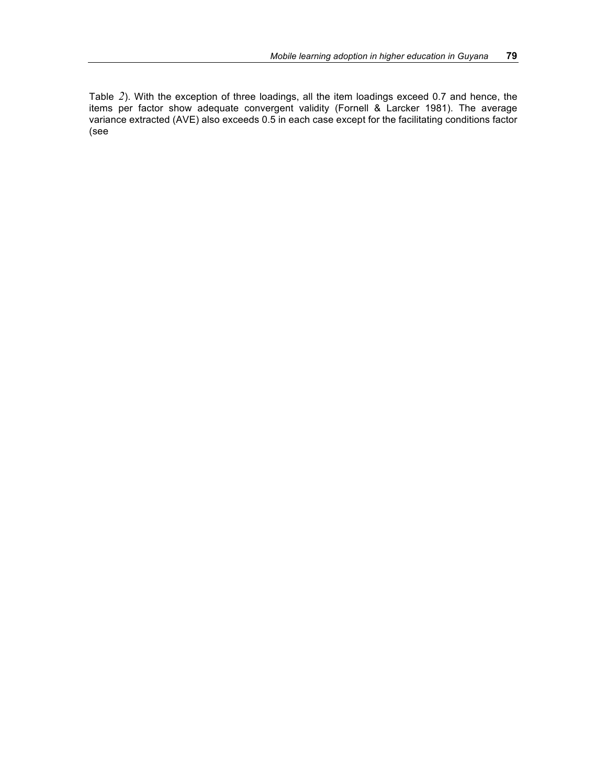Table *2*). With the exception of three loadings, all the item loadings exceed 0.7 and hence, the items per factor show adequate convergent validity (Fornell & Larcker 1981). The average variance extracted (AVE) also exceeds 0.5 in each case except for the facilitating conditions factor (see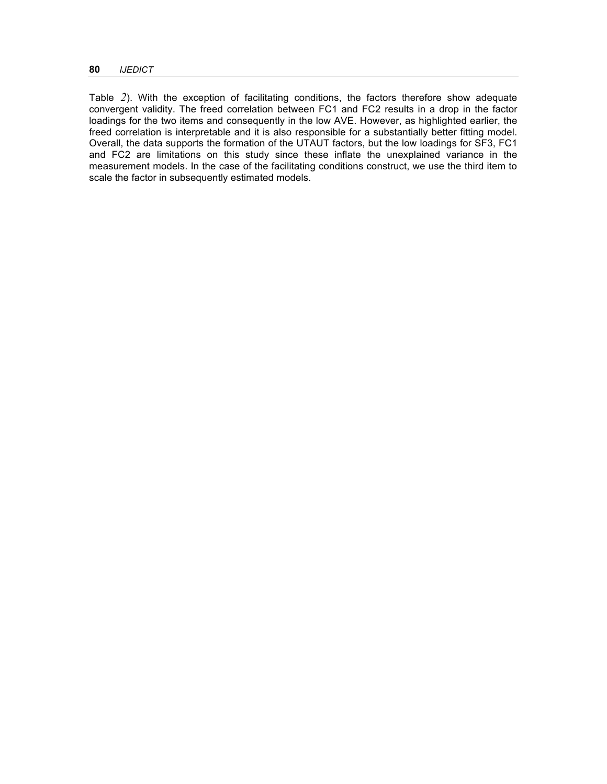Table *2*). With the exception of facilitating conditions, the factors therefore show adequate convergent validity. The freed correlation between FC1 and FC2 results in a drop in the factor loadings for the two items and consequently in the low AVE. However, as highlighted earlier, the freed correlation is interpretable and it is also responsible for a substantially better fitting model. Overall, the data supports the formation of the UTAUT factors, but the low loadings for SF3, FC1 and FC2 are limitations on this study since these inflate the unexplained variance in the measurement models. In the case of the facilitating conditions construct, we use the third item to scale the factor in subsequently estimated models.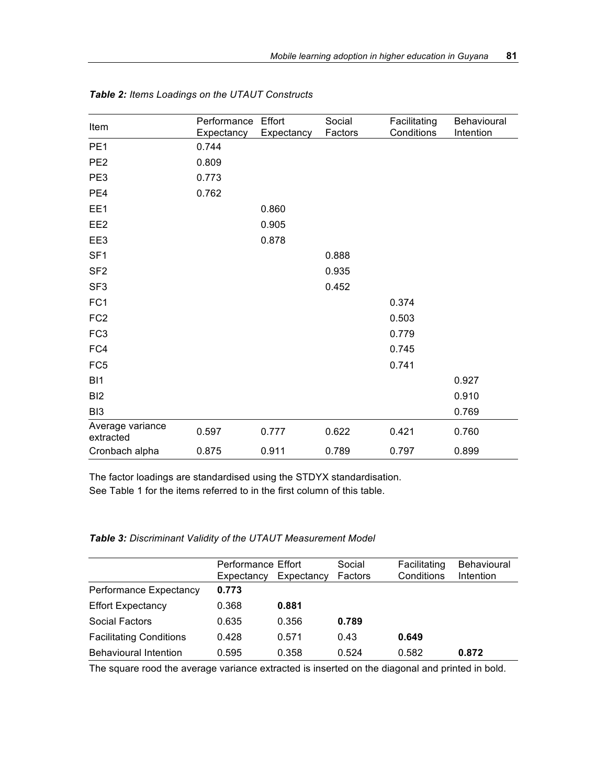| Item                          | Performance         | Effort     | Social  | Facilitating<br>Conditions | <b>Behavioural</b> |
|-------------------------------|---------------------|------------|---------|----------------------------|--------------------|
| PE <sub>1</sub>               | Expectancy<br>0.744 | Expectancy | Factors |                            | Intention          |
| PE <sub>2</sub>               | 0.809               |            |         |                            |                    |
|                               |                     |            |         |                            |                    |
| PE3                           | 0.773               |            |         |                            |                    |
| PE4                           | 0.762               |            |         |                            |                    |
| EE1                           |                     | 0.860      |         |                            |                    |
| EE <sub>2</sub>               |                     | 0.905      |         |                            |                    |
| EE3                           |                     | 0.878      |         |                            |                    |
| SF <sub>1</sub>               |                     |            | 0.888   |                            |                    |
| SF <sub>2</sub>               |                     |            | 0.935   |                            |                    |
| SF <sub>3</sub>               |                     |            | 0.452   |                            |                    |
| FC <sub>1</sub>               |                     |            |         | 0.374                      |                    |
| FC <sub>2</sub>               |                     |            |         | 0.503                      |                    |
| FC <sub>3</sub>               |                     |            |         | 0.779                      |                    |
| FC4                           |                     |            |         | 0.745                      |                    |
| FC <sub>5</sub>               |                     |            |         | 0.741                      |                    |
| BI <sub>1</sub>               |                     |            |         |                            | 0.927              |
| BI <sub>2</sub>               |                     |            |         |                            | 0.910              |
| BI <sub>3</sub>               |                     |            |         |                            | 0.769              |
| Average variance<br>extracted | 0.597               | 0.777      | 0.622   | 0.421                      | 0.760              |
| Cronbach alpha                | 0.875               | 0.911      | 0.789   | 0.797                      | 0.899              |

*Table 2: Items Loadings on the UTAUT Constructs*

The factor loadings are standardised using the STDYX standardisation. See Table 1 for the items referred to in the first column of this table.

## *Table 3: Discriminant Validity of the UTAUT Measurement Model*

|                                | Performance Effort<br>Expectancy | Expectancy | Social<br>Factors | Facilitating<br>Conditions | <b>Behavioural</b><br>Intention |
|--------------------------------|----------------------------------|------------|-------------------|----------------------------|---------------------------------|
| Performance Expectancy         | 0.773                            |            |                   |                            |                                 |
| <b>Effort Expectancy</b>       | 0.368                            | 0.881      |                   |                            |                                 |
| Social Factors                 | 0.635                            | 0.356      | 0.789             |                            |                                 |
| <b>Facilitating Conditions</b> | 0.428                            | 0.571      | 0.43              | 0.649                      |                                 |
| <b>Behavioural Intention</b>   | 0.595                            | 0.358      | 0.524             | 0.582                      | 0.872                           |

The square rood the average variance extracted is inserted on the diagonal and printed in bold.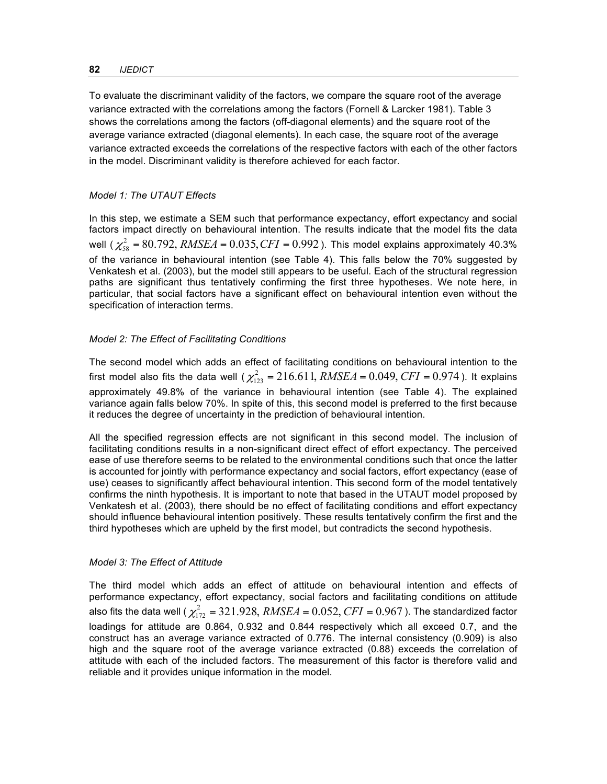#### **82** *IJEDICT*

To evaluate the discriminant validity of the factors, we compare the square root of the average variance extracted with the correlations among the factors (Fornell & Larcker 1981). Table 3 shows the correlations among the factors (off-diagonal elements) and the square root of the average variance extracted (diagonal elements). In each case, the square root of the average variance extracted exceeds the correlations of the respective factors with each of the other factors in the model. Discriminant validity is therefore achieved for each factor.

## *Model 1: The UTAUT Effects*

In this step, we estimate a SEM such that performance expectancy, effort expectancy and social factors impact directly on behavioural intention. The results indicate that the model fits the data well ( $\chi^2_{58}$  = 80.792, *RMSEA* = 0.035, *CFI* = 0.992 ). This model explains approximately 40.3% of the variance in behavioural intention (see Table 4). This falls below the 70% suggested by Venkatesh et al. (2003), but the model still appears to be useful. Each of the structural regression paths are significant thus tentatively confirming the first three hypotheses. We note here, in particular, that social factors have a significant effect on behavioural intention even without the specification of interaction terms.

## *Model 2: The Effect of Facilitating Conditions*

The second model which adds an effect of facilitating conditions on behavioural intention to the first model also fits the data well ( $\chi^2_{123} = 216.611, RMSEA = 0.049, CFI = 0.974$ ). It explains approximately 49.8% of the variance in behavioural intention (see Table 4). The explained variance again falls below 70%. In spite of this, this second model is preferred to the first because it reduces the degree of uncertainty in the prediction of behavioural intention.

All the specified regression effects are not significant in this second model. The inclusion of facilitating conditions results in a non-significant direct effect of effort expectancy. The perceived ease of use therefore seems to be related to the environmental conditions such that once the latter is accounted for jointly with performance expectancy and social factors, effort expectancy (ease of use) ceases to significantly affect behavioural intention. This second form of the model tentatively confirms the ninth hypothesis. It is important to note that based in the UTAUT model proposed by Venkatesh et al. (2003), there should be no effect of facilitating conditions and effort expectancy should influence behavioural intention positively. These results tentatively confirm the first and the third hypotheses which are upheld by the first model, but contradicts the second hypothesis.

## *Model 3: The Effect of Attitude*

The third model which adds an effect of attitude on behavioural intention and effects of performance expectancy, effort expectancy, social factors and facilitating conditions on attitude also fits the data well (  $\chi_{172}^2$  =  $321.928, RMSEA$  =  $0.052, CFI$  =  $0.967$  ). The standardized factor loadings for attitude are 0.864, 0.932 and 0.844 respectively which all exceed 0.7, and the construct has an average variance extracted of 0.776. The internal consistency (0.909) is also high and the square root of the average variance extracted (0.88) exceeds the correlation of attitude with each of the included factors. The measurement of this factor is therefore valid and reliable and it provides unique information in the model.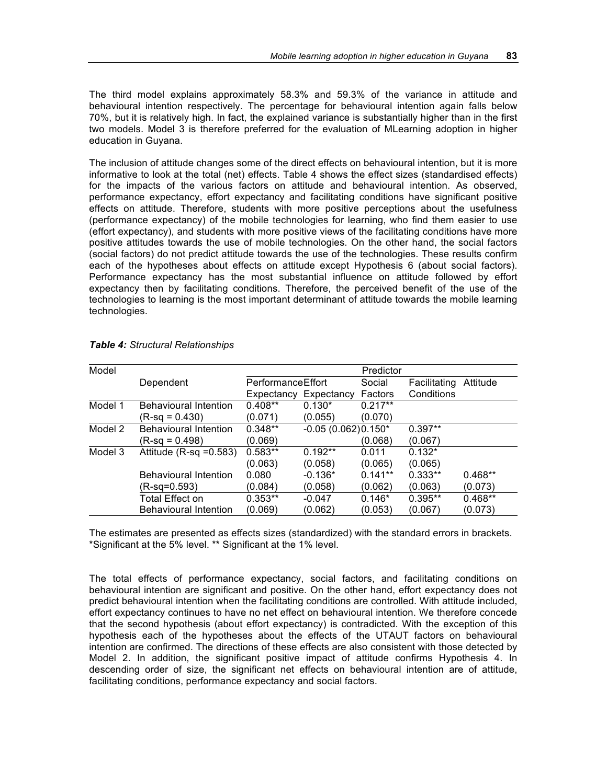The third model explains approximately 58.3% and 59.3% of the variance in attitude and behavioural intention respectively. The percentage for behavioural intention again falls below 70%, but it is relatively high. In fact, the explained variance is substantially higher than in the first two models. Model 3 is therefore preferred for the evaluation of MLearning adoption in higher education in Guyana.

The inclusion of attitude changes some of the direct effects on behavioural intention, but it is more informative to look at the total (net) effects. Table 4 shows the effect sizes (standardised effects) for the impacts of the various factors on attitude and behavioural intention. As observed, performance expectancy, effort expectancy and facilitating conditions have significant positive effects on attitude. Therefore, students with more positive perceptions about the usefulness (performance expectancy) of the mobile technologies for learning, who find them easier to use (effort expectancy), and students with more positive views of the facilitating conditions have more positive attitudes towards the use of mobile technologies. On the other hand, the social factors (social factors) do not predict attitude towards the use of the technologies. These results confirm each of the hypotheses about effects on attitude except Hypothesis 6 (about social factors). Performance expectancy has the most substantial influence on attitude followed by effort expectancy then by facilitating conditions. Therefore, the perceived benefit of the use of the technologies to learning is the most important determinant of attitude towards the mobile learning technologies.

| Model   |                              |                   |                      | Predictor |              |           |
|---------|------------------------------|-------------------|----------------------|-----------|--------------|-----------|
|         | Dependent                    | PerformanceEffort |                      | Social    | Facilitating | Attitude  |
|         |                              | Expectancy        | Expectancy           | Factors   | Conditions   |           |
| Model 1 | <b>Behavioural Intention</b> | $0.408**$         | $0.130*$             | $0.217**$ |              |           |
|         | $(R-sq = 0.430)$             | (0.071)           | (0.055)              | (0.070)   |              |           |
| Model 2 | <b>Behavioural Intention</b> | $0.348**$         | $-0.05(0.062)0.150*$ |           | $0.397**$    |           |
|         | $(R-sq = 0.498)$             | (0.069)           |                      | (0.068)   | (0.067)      |           |
| Model 3 | Attitude $(R-sq = 0.583)$    | $0.583**$         | $0.192**$            | 0.011     | $0.132*$     |           |
|         |                              | (0.063)           | (0.058)              | (0.065)   | (0.065)      |           |
|         | <b>Behavioural Intention</b> | 0.080             | $-0.136*$            | $0.141**$ | $0.333**$    | $0.468**$ |
|         | (R-sq=0.593)                 | (0.084)           | (0.058)              | (0.062)   | (0.063)      | (0.073)   |
|         | <b>Total Effect on</b>       | $0.353**$         | $-0.047$             | $0.146*$  | $0.395**$    | $0.468**$ |
|         | <b>Behavioural Intention</b> | (0.069)           | (0.062)              | (0.053)   | (0.067)      | (0.073)   |

| Table 4: Structural Relationships |
|-----------------------------------|
|-----------------------------------|

The estimates are presented as effects sizes (standardized) with the standard errors in brackets. \*Significant at the 5% level. \*\* Significant at the 1% level.

The total effects of performance expectancy, social factors, and facilitating conditions on behavioural intention are significant and positive. On the other hand, effort expectancy does not predict behavioural intention when the facilitating conditions are controlled. With attitude included, effort expectancy continues to have no net effect on behavioural intention. We therefore concede that the second hypothesis (about effort expectancy) is contradicted. With the exception of this hypothesis each of the hypotheses about the effects of the UTAUT factors on behavioural intention are confirmed. The directions of these effects are also consistent with those detected by Model 2. In addition, the significant positive impact of attitude confirms Hypothesis 4. In descending order of size, the significant net effects on behavioural intention are of attitude, facilitating conditions, performance expectancy and social factors.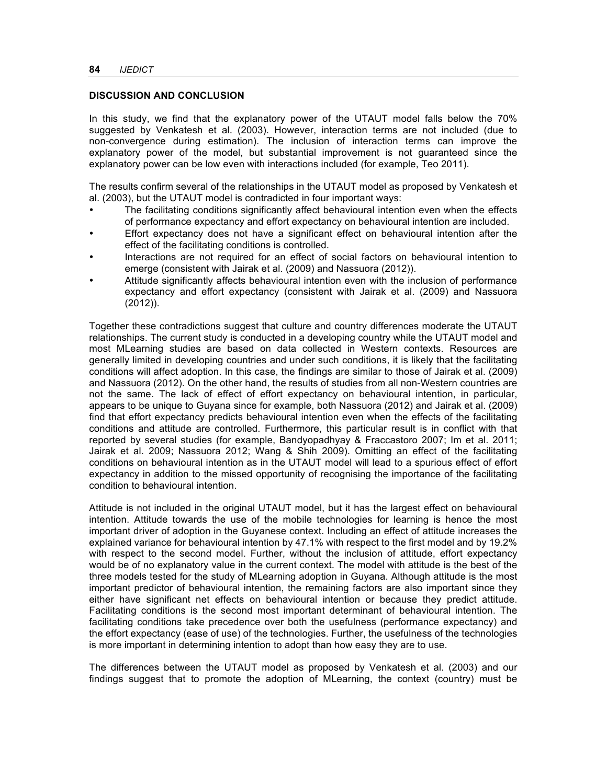#### **DISCUSSION AND CONCLUSION**

In this study, we find that the explanatory power of the UTAUT model falls below the 70% suggested by Venkatesh et al. (2003). However, interaction terms are not included (due to non-convergence during estimation). The inclusion of interaction terms can improve the explanatory power of the model, but substantial improvement is not guaranteed since the explanatory power can be low even with interactions included (for example, Teo 2011).

The results confirm several of the relationships in the UTAUT model as proposed by Venkatesh et al. (2003), but the UTAUT model is contradicted in four important ways:

- The facilitating conditions significantly affect behavioural intention even when the effects of performance expectancy and effort expectancy on behavioural intention are included.
- Effort expectancy does not have a significant effect on behavioural intention after the effect of the facilitating conditions is controlled.
- Interactions are not required for an effect of social factors on behavioural intention to emerge (consistent with Jairak et al. (2009) and Nassuora (2012)).
- Attitude significantly affects behavioural intention even with the inclusion of performance expectancy and effort expectancy (consistent with Jairak et al. (2009) and Nassuora (2012)).

Together these contradictions suggest that culture and country differences moderate the UTAUT relationships. The current study is conducted in a developing country while the UTAUT model and most MLearning studies are based on data collected in Western contexts. Resources are generally limited in developing countries and under such conditions, it is likely that the facilitating conditions will affect adoption. In this case, the findings are similar to those of Jairak et al. (2009) and Nassuora (2012). On the other hand, the results of studies from all non-Western countries are not the same. The lack of effect of effort expectancy on behavioural intention, in particular, appears to be unique to Guyana since for example, both Nassuora (2012) and Jairak et al. (2009) find that effort expectancy predicts behavioural intention even when the effects of the facilitating conditions and attitude are controlled. Furthermore, this particular result is in conflict with that reported by several studies (for example, Bandyopadhyay & Fraccastoro 2007; Im et al. 2011; Jairak et al. 2009; Nassuora 2012; Wang & Shih 2009). Omitting an effect of the facilitating conditions on behavioural intention as in the UTAUT model will lead to a spurious effect of effort expectancy in addition to the missed opportunity of recognising the importance of the facilitating condition to behavioural intention.

Attitude is not included in the original UTAUT model, but it has the largest effect on behavioural intention. Attitude towards the use of the mobile technologies for learning is hence the most important driver of adoption in the Guyanese context. Including an effect of attitude increases the explained variance for behavioural intention by 47.1% with respect to the first model and by 19.2% with respect to the second model. Further, without the inclusion of attitude, effort expectancy would be of no explanatory value in the current context. The model with attitude is the best of the three models tested for the study of MLearning adoption in Guyana. Although attitude is the most important predictor of behavioural intention, the remaining factors are also important since they either have significant net effects on behavioural intention or because they predict attitude. Facilitating conditions is the second most important determinant of behavioural intention. The facilitating conditions take precedence over both the usefulness (performance expectancy) and the effort expectancy (ease of use) of the technologies. Further, the usefulness of the technologies is more important in determining intention to adopt than how easy they are to use.

The differences between the UTAUT model as proposed by Venkatesh et al. (2003) and our findings suggest that to promote the adoption of MLearning, the context (country) must be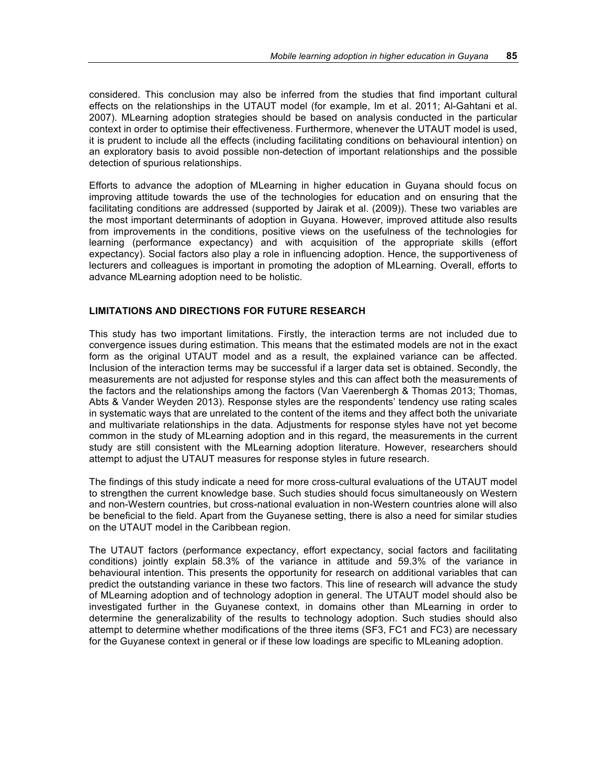considered. This conclusion may also be inferred from the studies that find important cultural effects on the relationships in the UTAUT model (for example, Im et al. 2011; Al-Gahtani et al. 2007). MLearning adoption strategies should be based on analysis conducted in the particular context in order to optimise their effectiveness. Furthermore, whenever the UTAUT model is used, it is prudent to include all the effects (including facilitating conditions on behavioural intention) on an exploratory basis to avoid possible non-detection of important relationships and the possible detection of spurious relationships.

Efforts to advance the adoption of MLearning in higher education in Guyana should focus on improving attitude towards the use of the technologies for education and on ensuring that the facilitating conditions are addressed (supported by Jairak et al. (2009)). These two variables are the most important determinants of adoption in Guyana. However, improved attitude also results from improvements in the conditions, positive views on the usefulness of the technologies for learning (performance expectancy) and with acquisition of the appropriate skills (effort expectancy). Social factors also play a role in influencing adoption. Hence, the supportiveness of lecturers and colleagues is important in promoting the adoption of MLearning. Overall, efforts to advance MLearning adoption need to be holistic.

## **LIMITATIONS AND DIRECTIONS FOR FUTURE RESEARCH**

This study has two important limitations. Firstly, the interaction terms are not included due to convergence issues during estimation. This means that the estimated models are not in the exact form as the original UTAUT model and as a result, the explained variance can be affected. Inclusion of the interaction terms may be successful if a larger data set is obtained. Secondly, the measurements are not adjusted for response styles and this can affect both the measurements of the factors and the relationships among the factors (Van Vaerenbergh & Thomas 2013; Thomas, Abts & Vander Weyden 2013). Response styles are the respondents' tendency use rating scales in systematic ways that are unrelated to the content of the items and they affect both the univariate and multivariate relationships in the data. Adjustments for response styles have not yet become common in the study of MLearning adoption and in this regard, the measurements in the current study are still consistent with the MLearning adoption literature. However, researchers should attempt to adjust the UTAUT measures for response styles in future research.

The findings of this study indicate a need for more cross-cultural evaluations of the UTAUT model to strengthen the current knowledge base. Such studies should focus simultaneously on Western and non-Western countries, but cross-national evaluation in non-Western countries alone will also be beneficial to the field. Apart from the Guyanese setting, there is also a need for similar studies on the UTAUT model in the Caribbean region.

The UTAUT factors (performance expectancy, effort expectancy, social factors and facilitating conditions) jointly explain 58.3% of the variance in attitude and 59.3% of the variance in behavioural intention. This presents the opportunity for research on additional variables that can predict the outstanding variance in these two factors. This line of research will advance the study of MLearning adoption and of technology adoption in general. The UTAUT model should also be investigated further in the Guyanese context, in domains other than MLearning in order to determine the generalizability of the results to technology adoption. Such studies should also attempt to determine whether modifications of the three items (SF3, FC1 and FC3) are necessary for the Guyanese context in general or if these low loadings are specific to MLeaning adoption.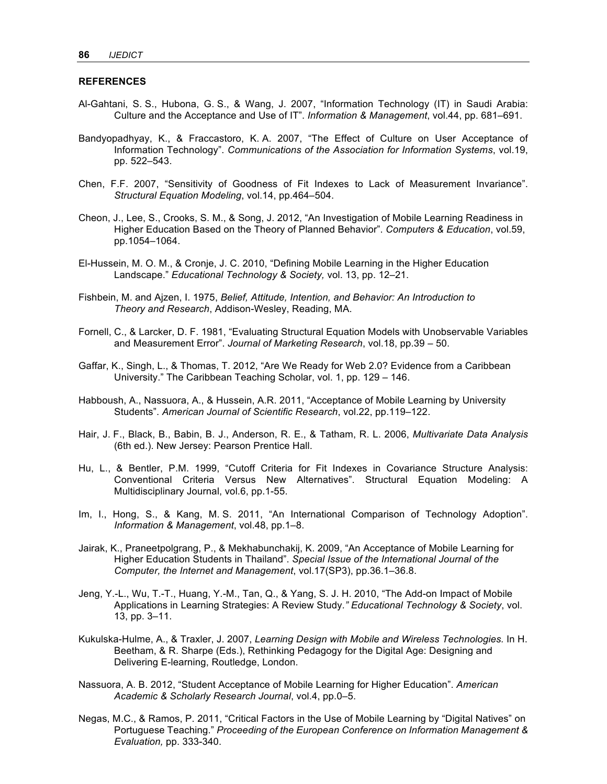#### **REFERENCES**

- Al-Gahtani, S. S., Hubona, G. S., & Wang, J. 2007, "Information Technology (IT) in Saudi Arabia: Culture and the Acceptance and Use of IT". *Information & Management*, vol.44, pp. 681–691.
- Bandyopadhyay, K., & Fraccastoro, K. A. 2007, "The Effect of Culture on User Acceptance of Information Technology". *Communications of the Association for Information Systems*, vol.19, pp. 522–543.
- Chen, F.F. 2007, "Sensitivity of Goodness of Fit Indexes to Lack of Measurement Invariance". *Structural Equation Modeling*, vol.14, pp.464–504.
- Cheon, J., Lee, S., Crooks, S. M., & Song, J. 2012, "An Investigation of Mobile Learning Readiness in Higher Education Based on the Theory of Planned Behavior". *Computers & Education*, vol.59, pp.1054–1064.
- El-Hussein, M. O. M., & Cronje, J. C. 2010, "Defining Mobile Learning in the Higher Education Landscape." *Educational Technology & Society,* vol. 13, pp. 12–21.
- Fishbein, M. and Ajzen, I. 1975, *Belief, Attitude, Intention, and Behavior: An Introduction to Theory and Research*, Addison-Wesley, Reading, MA.
- Fornell, C., & Larcker, D. F. 1981, "Evaluating Structural Equation Models with Unobservable Variables and Measurement Error". *Journal of Marketing Research*, vol.18, pp.39 – 50.
- Gaffar, K., Singh, L., & Thomas, T. 2012, "Are We Ready for Web 2.0? Evidence from a Caribbean University." The Caribbean Teaching Scholar, vol. 1, pp. 129 – 146.
- Habboush, A., Nassuora, A., & Hussein, A.R. 2011, "Acceptance of Mobile Learning by University Students". *American Journal of Scientific Research*, vol.22, pp.119–122.
- Hair, J. F., Black, B., Babin, B. J., Anderson, R. E., & Tatham, R. L. 2006, *Multivariate Data Analysis* (6th ed.). New Jersey: Pearson Prentice Hall.
- Hu, L., & Bentler, P.M. 1999, "Cutoff Criteria for Fit Indexes in Covariance Structure Analysis: Conventional Criteria Versus New Alternatives". Structural Equation Modeling: A Multidisciplinary Journal, vol.6, pp.1-55.
- Im, I., Hong, S., & Kang, M. S. 2011, "An International Comparison of Technology Adoption". *Information & Management*, vol.48, pp.1–8.
- Jairak, K., Praneetpolgrang, P., & Mekhabunchakij, K. 2009, "An Acceptance of Mobile Learning for Higher Education Students in Thailand". *Special Issue of the International Journal of the Computer, the Internet and Management*, vol.17(SP3), pp.36.1–36.8.
- Jeng, Y.-L., Wu, T.-T., Huang, Y.-M., Tan, Q., & Yang, S. J. H. 2010, "The Add-on Impact of Mobile Applications in Learning Strategies: A Review Study*." Educational Technology & Society*, vol. 13, pp. 3–11.
- Kukulska-Hulme, A., & Traxler, J. 2007, *Learning Design with Mobile and Wireless Technologies.* In H. Beetham, & R. Sharpe (Eds.), Rethinking Pedagogy for the Digital Age: Designing and Delivering E-learning, Routledge, London.
- Nassuora, A. B. 2012, "Student Acceptance of Mobile Learning for Higher Education". *American Academic & Scholarly Research Journal*, vol.4, pp.0–5.
- Negas, M.C., & Ramos, P. 2011, "Critical Factors in the Use of Mobile Learning by "Digital Natives" on Portuguese Teaching." *Proceeding of the European Conference on Information Management & Evaluation,* pp. 333-340.